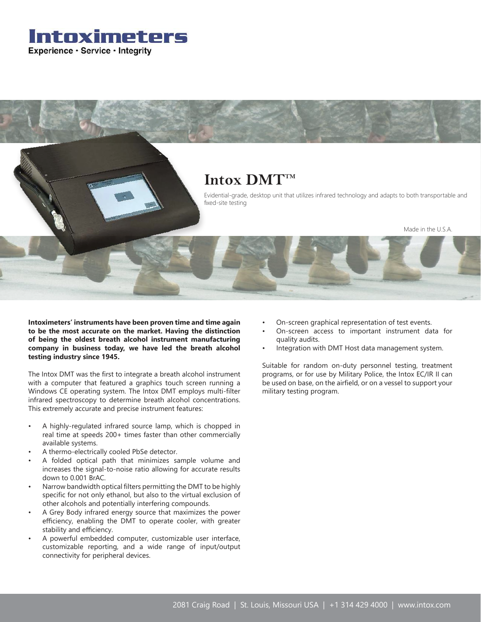



**Intoximeters' instruments have been proven time and time again to be the most accurate on the market. Having the distinction of being the oldest breath alcohol instrument manufacturing company in business today, we have led the breath alcohol testing industry since 1945.**

The Intox DMT was the first to integrate a breath alcohol instrument with a computer that featured a graphics touch screen running a Windows CE operating system. The Intox DMT employs multi-filter infrared spectroscopy to determine breath alcohol concentrations. This extremely accurate and precise instrument features:

- A highly-regulated infrared source lamp, which is chopped in real time at speeds 200+ times faster than other commercially available systems.
- A thermo-electrically cooled PbSe detector.
- A folded optical path that minimizes sample volume and increases the signal-to-noise ratio allowing for accurate results down to 0.001 BrAC.
- Narrow bandwidth optical filters permitting the DMT to be highly specific for not only ethanol, but also to the virtual exclusion of other alcohols and potentially interfering compounds.
- A Grey Body infrared energy source that maximizes the power efficiency, enabling the DMT to operate cooler, with greater stability and efficiency.
- A powerful embedded computer, customizable user interface, customizable reporting, and a wide range of input/output connectivity for peripheral devices.
- On-screen graphical representation of test events.
- On-screen access to important instrument data for quality audits.
- Integration with DMT Host data management system.

Suitable for random on-duty personnel testing, treatment programs, or for use by Military Police, the Intox EC/IR II can be used on base, on the airfield, or on a vessel to support your military testing program.